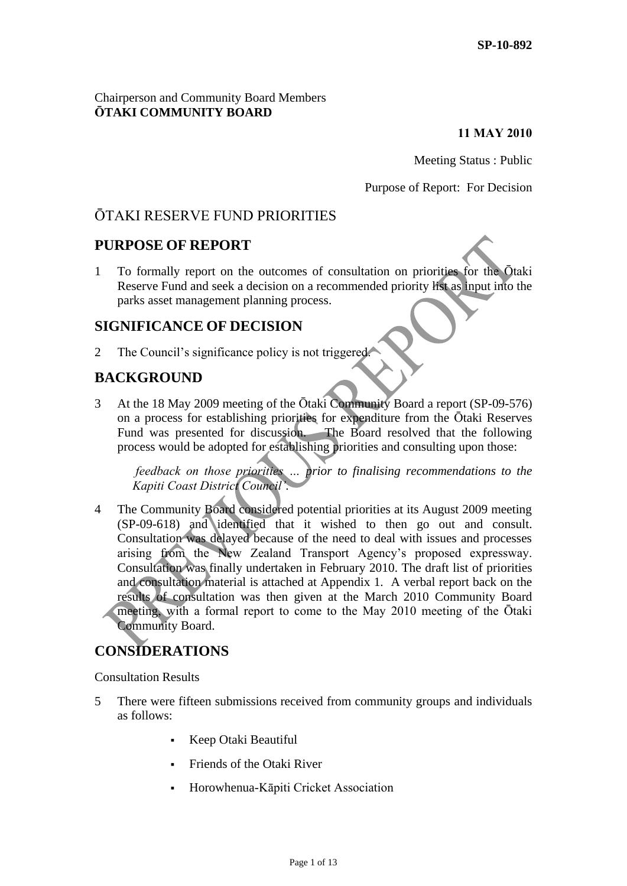## Chairperson and Community Board Members **ŌTAKI COMMUNITY BOARD**

### **11 MAY 2010**

Meeting Status : Public

Purpose of Report: For Decision

# ŌTAKI RESERVE FUND PRIORITIES

# **PURPOSE OF REPORT**

1 To formally report on the outcomes of consultation on priorities for the Ōtaki Reserve Fund and seek a decision on a recommended priority list as input into the parks asset management planning process.

# **SIGNIFICANCE OF DECISION**

2 The Council's significance policy is not triggered.

# **BACKGROUND**

3 At the 18 May 2009 meeting of the Ōtaki Community Board a report (SP-09-576) on a process for establishing priorities for expenditure from the Ōtaki Reserves Fund was presented for discussion. The Board resolved that the following process would be adopted for establishing priorities and consulting upon those:

*feedback on those priorities … prior to finalising recommendations to the Kapiti Coast District Council'.*

4 The Community Board considered potential priorities at its August 2009 meeting (SP-09-618) and identified that it wished to then go out and consult. Consultation was delayed because of the need to deal with issues and processes arising from the New Zealand Transport Agency's proposed expressway. Consultation was finally undertaken in February 2010. The draft list of priorities and consultation material is attached at Appendix 1. A verbal report back on the results of consultation was then given at the March 2010 Community Board meeting, with a formal report to come to the May 2010 meeting of the Ōtaki Community Board.

# **CONSIDERATIONS**

Consultation Results

- 5 There were fifteen submissions received from community groups and individuals as follows:
	- Keep Otaki Beautiful
	- Friends of the Otaki River
	- Horowhenua-Kāpiti Cricket Association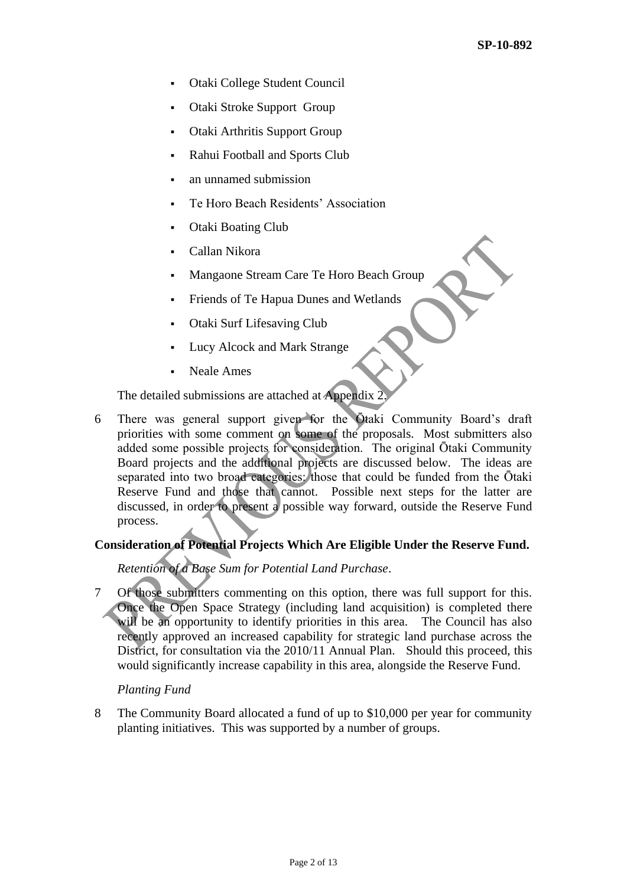- Otaki College Student Council
- Otaki Stroke Support Group
- Otaki Arthritis Support Group
- Rahui Football and Sports Club
- an unnamed submission
- Te Horo Beach Residents' Association
- Otaki Boating Club
- Callan Nikora
- Mangaone Stream Care Te Horo Beach Group
- Friends of Te Hapua Dunes and Wetlands
- Otaki Surf Lifesaving Club
- Lucy Alcock and Mark Strange
- Neale Ames

The detailed submissions are attached at Appendix 2.

6 There was general support given for the Ōtaki Community Board's draft priorities with some comment on some of the proposals. Most submitters also added some possible projects for consideration. The original Ōtaki Community Board projects and the additional projects are discussed below. The ideas are separated into two broad categories: those that could be funded from the Otaki Reserve Fund and those that cannot. Possible next steps for the latter are discussed, in order to present a possible way forward, outside the Reserve Fund process.

# **Consideration of Potential Projects Which Are Eligible Under the Reserve Fund.**

### *Retention of a Base Sum for Potential Land Purchase*.

7 Of those submitters commenting on this option, there was full support for this. Once the Open Space Strategy (including land acquisition) is completed there will be an opportunity to identify priorities in this area. The Council has also recently approved an increased capability for strategic land purchase across the District, for consultation via the 2010/11 Annual Plan. Should this proceed, this would significantly increase capability in this area, alongside the Reserve Fund.

*Planting Fund* 

8 The Community Board allocated a fund of up to \$10,000 per year for community planting initiatives. This was supported by a number of groups.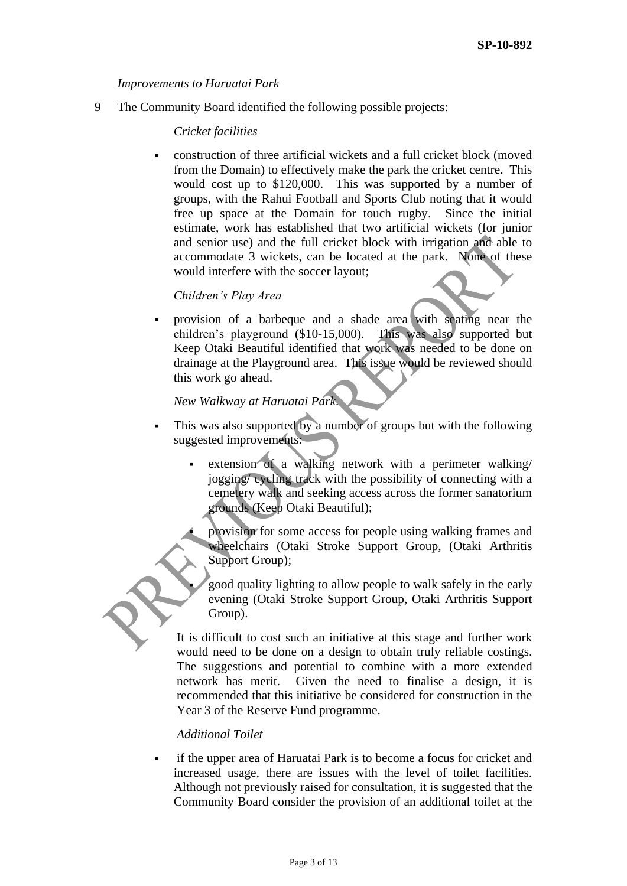#### *Improvements to Haruatai Park*

9 The Community Board identified the following possible projects:

#### *Cricket facilities*

 construction of three artificial wickets and a full cricket block (moved from the Domain) to effectively make the park the cricket centre. This would cost up to \$120,000. This was supported by a number of groups, with the Rahui Football and Sports Club noting that it would free up space at the Domain for touch rugby. Since the initial estimate, work has established that two artificial wickets (for junior and senior use) and the full cricket block with irrigation and able to accommodate 3 wickets, can be located at the park. None of these would interfere with the soccer layout;

### *Children's Play Area*

 provision of a barbeque and a shade area with seating near the children's playground (\$10-15,000). This was also supported but Keep Otaki Beautiful identified that work was needed to be done on drainage at the Playground area. This issue would be reviewed should this work go ahead.

## *New Walkway at Haruatai Park*.

- This was also supported by a number of groups but with the following suggested improvements:
	- extension of a walking network with a perimeter walking/ jogging/ cycling track with the possibility of connecting with a cemetery walk and seeking access across the former sanatorium grounds (Keep Otaki Beautiful);
	- provision for some access for people using walking frames and wheelchairs (Otaki Stroke Support Group, (Otaki Arthritis Support Group);
		- good quality lighting to allow people to walk safely in the early evening (Otaki Stroke Support Group, Otaki Arthritis Support Group).

It is difficult to cost such an initiative at this stage and further work would need to be done on a design to obtain truly reliable costings. The suggestions and potential to combine with a more extended network has merit. Given the need to finalise a design, it is recommended that this initiative be considered for construction in the Year 3 of the Reserve Fund programme.

#### *Additional Toilet*

 if the upper area of Haruatai Park is to become a focus for cricket and increased usage, there are issues with the level of toilet facilities. Although not previously raised for consultation, it is suggested that the Community Board consider the provision of an additional toilet at the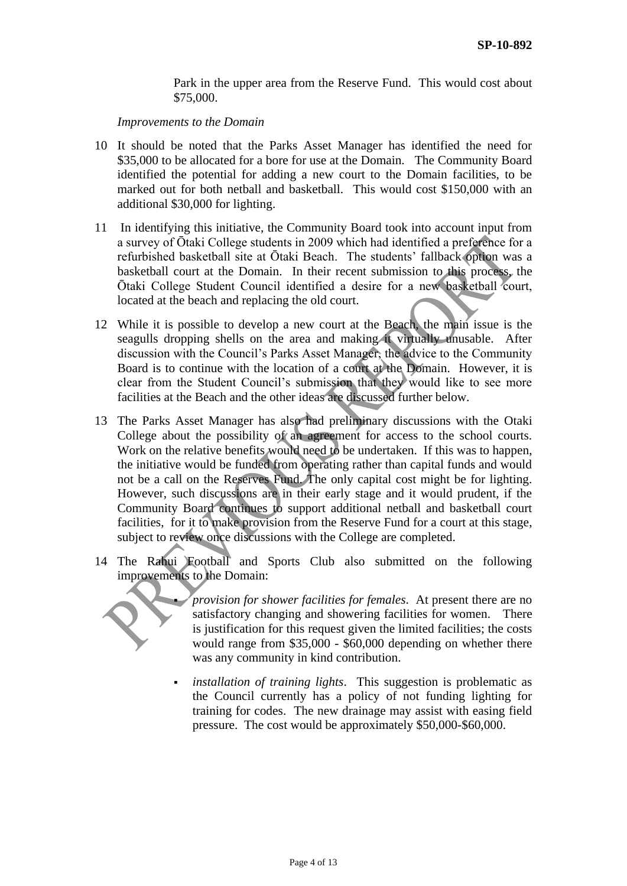Park in the upper area from the Reserve Fund. This would cost about \$75,000.

*Improvements to the Domain* 

- 10 It should be noted that the Parks Asset Manager has identified the need for \$35,000 to be allocated for a bore for use at the Domain. The Community Board identified the potential for adding a new court to the Domain facilities, to be marked out for both netball and basketball. This would cost \$150,000 with an additional \$30,000 for lighting.
- 11 In identifying this initiative, the Community Board took into account input from a survey of Ōtaki College students in 2009 which had identified a preference for a refurbished basketball site at Ōtaki Beach. The students' fallback option was a basketball court at the Domain. In their recent submission to this process, the Ōtaki College Student Council identified a desire for a new basketball court, located at the beach and replacing the old court.
- 12 While it is possible to develop a new court at the Beach, the main issue is the seagulls dropping shells on the area and making it virtually unusable. After discussion with the Council's Parks Asset Manager, the advice to the Community Board is to continue with the location of a court at the Domain. However, it is clear from the Student Council's submission that they would like to see more facilities at the Beach and the other ideas are discussed further below.
- 13 The Parks Asset Manager has also had preliminary discussions with the Otaki College about the possibility of an agreement for access to the school courts. Work on the relative benefits would need to be undertaken. If this was to happen, the initiative would be funded from operating rather than capital funds and would not be a call on the Reserves Fund. The only capital cost might be for lighting. However, such discussions are in their early stage and it would prudent, if the Community Board continues to support additional netball and basketball court facilities, for it to make provision from the Reserve Fund for a court at this stage, subject to review once discussions with the College are completed.
- 14 The Rahui Football and Sports Club also submitted on the following improvements to the Domain:



 *provision for shower facilities for females*. At present there are no satisfactory changing and showering facilities for women. There is justification for this request given the limited facilities; the costs would range from \$35,000 - \$60,000 depending on whether there was any community in kind contribution.

 *installation of training lights*. This suggestion is problematic as the Council currently has a policy of not funding lighting for training for codes. The new drainage may assist with easing field pressure. The cost would be approximately \$50,000-\$60,000.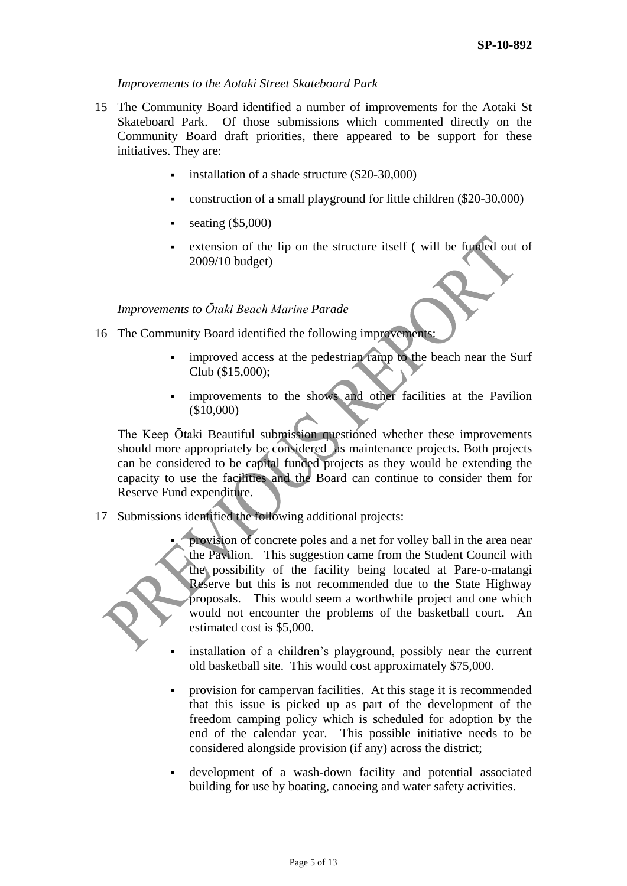#### *Improvements to the Aotaki Street Skateboard Park*

- 15 The Community Board identified a number of improvements for the Aotaki St Skateboard Park. Of those submissions which commented directly on the Community Board draft priorities, there appeared to be support for these initiatives. They are:
	- installation of a shade structure (\$20-30,000)
	- construction of a small playground for little children (\$20-30,000)
	- seating (\$5,000)
	- extension of the lip on the structure itself ( will be funded out of 2009/10 budget)

### *Improvements to Ōtaki Beach Marine Parade*

- 16 The Community Board identified the following improvements:
	- improved access at the pedestrian ramp to the beach near the Surf Club (\$15,000);
	- improvements to the shows and other facilities at the Pavilion (\$10,000)

The Keep Ōtaki Beautiful submission questioned whether these improvements should more appropriately be considered as maintenance projects. Both projects can be considered to be capital funded projects as they would be extending the capacity to use the facilities and the Board can continue to consider them for Reserve Fund expenditure.

17 Submissions identified the following additional projects:



 provision of concrete poles and a net for volley ball in the area near the Pavilion. This suggestion came from the Student Council with the possibility of the facility being located at Pare-o-matangi Reserve but this is not recommended due to the State Highway proposals. This would seem a worthwhile project and one which would not encounter the problems of the basketball court. An estimated cost is \$5,000.

- installation of a children's playground, possibly near the current old basketball site. This would cost approximately \$75,000.
- provision for campervan facilities. At this stage it is recommended that this issue is picked up as part of the development of the freedom camping policy which is scheduled for adoption by the end of the calendar year. This possible initiative needs to be considered alongside provision (if any) across the district;
- development of a wash-down facility and potential associated building for use by boating, canoeing and water safety activities.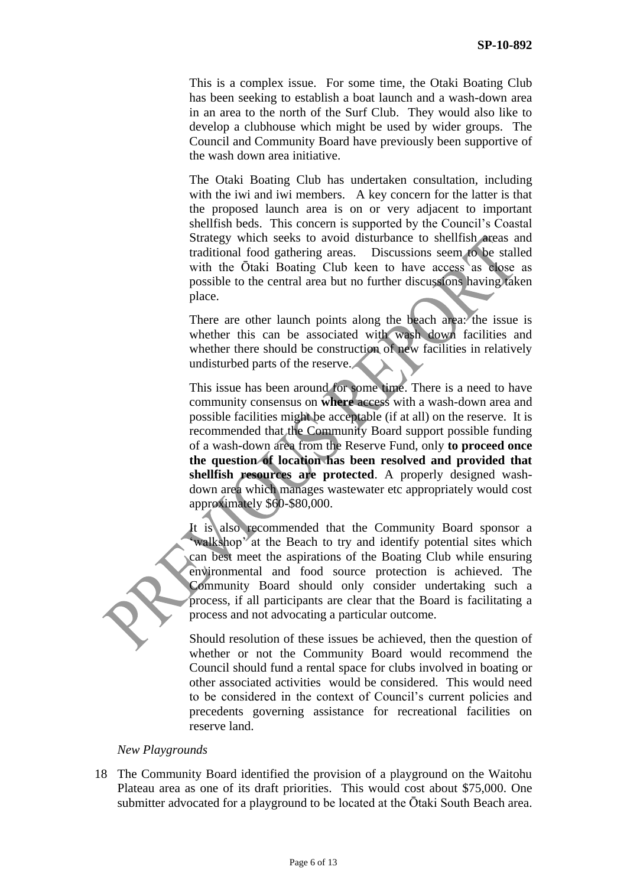This is a complex issue. For some time, the Otaki Boating Club has been seeking to establish a boat launch and a wash-down area in an area to the north of the Surf Club. They would also like to develop a clubhouse which might be used by wider groups. The Council and Community Board have previously been supportive of the wash down area initiative.

The Otaki Boating Club has undertaken consultation, including with the iwi and iwi members. A key concern for the latter is that the proposed launch area is on or very adjacent to important shellfish beds. This concern is supported by the Council's Coastal Strategy which seeks to avoid disturbance to shellfish areas and traditional food gathering areas. Discussions seem to be stalled with the Ōtaki Boating Club keen to have access as close as possible to the central area but no further discussions having taken place.

There are other launch points along the beach area: the issue is whether this can be associated with wash down facilities and whether there should be construction of new facilities in relatively undisturbed parts of the reserve.

This issue has been around for some time. There is a need to have community consensus on **where** access with a wash-down area and possible facilities might be acceptable (if at all) on the reserve. It is recommended that the Community Board support possible funding of a wash-down area from the Reserve Fund, only **to proceed once the question of location has been resolved and provided that shellfish resources are protected**. A properly designed washdown area which manages wastewater etc appropriately would cost approximately \$60-\$80,000.

It is also recommended that the Community Board sponsor a walkshop<sup>3</sup> at the Beach to try and identify potential sites which can best meet the aspirations of the Boating Club while ensuring environmental and food source protection is achieved. The Community Board should only consider undertaking such a process, if all participants are clear that the Board is facilitating a process and not advocating a particular outcome.

Should resolution of these issues be achieved, then the question of whether or not the Community Board would recommend the Council should fund a rental space for clubs involved in boating or other associated activities would be considered. This would need to be considered in the context of Council's current policies and precedents governing assistance for recreational facilities on reserve land.

#### *New Playgrounds*

18 The Community Board identified the provision of a playground on the Waitohu Plateau area as one of its draft priorities. This would cost about \$75,000. One submitter advocated for a playground to be located at the Ōtaki South Beach area.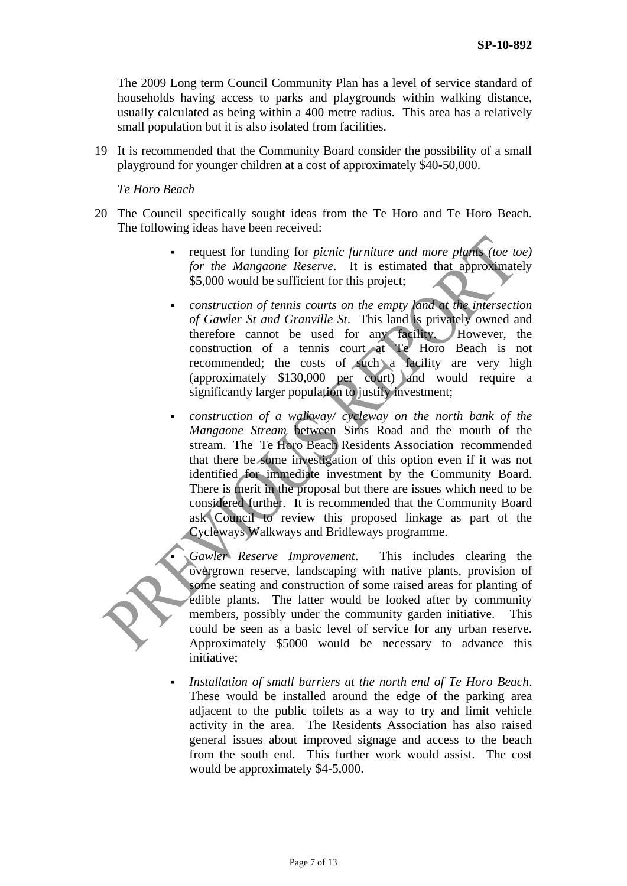The 2009 Long term Council Community Plan has a level of service standard of households having access to parks and playgrounds within walking distance, usually calculated as being within a 400 metre radius. This area has a relatively small population but it is also isolated from facilities.

19 It is recommended that the Community Board consider the possibility of a small playground for younger children at a cost of approximately \$40-50,000.

*Te Horo Beach* 

- 20 The Council specifically sought ideas from the Te Horo and Te Horo Beach. The following ideas have been received:
	- request for funding for *picnic furniture and more plants (toe toe) for the Mangaone Reserve*. It is estimated that approximately \$5,000 would be sufficient for this project;
	- *construction of tennis courts on the empty land at the intersection of Gawler St and Granville St*. This land is privately owned and therefore cannot be used for any facility. However, the construction of a tennis court at Te Horo Beach is not recommended; the costs of such a facility are very high (approximately \$130,000 per court) and would require a significantly larger population to justify investment;
	- *construction of a walkway/ cycleway on the north bank of the Mangaone Stream* between Sims Road and the mouth of the stream. The Te Horo Beach Residents Association recommended that there be some investigation of this option even if it was not identified for immediate investment by the Community Board. There is merit in the proposal but there are issues which need to be considered further. It is recommended that the Community Board ask Council to review this proposed linkage as part of the Cycleways Walkways and Bridleways programme.

 *Gawler Reserve Improvement*. This includes clearing the overgrown reserve, landscaping with native plants, provision of some seating and construction of some raised areas for planting of edible plants. The latter would be looked after by community members, possibly under the community garden initiative. This could be seen as a basic level of service for any urban reserve. Approximately \$5000 would be necessary to advance this initiative;

 *Installation of small barriers at the north end of Te Horo Beach*. These would be installed around the edge of the parking area adjacent to the public toilets as a way to try and limit vehicle activity in the area. The Residents Association has also raised general issues about improved signage and access to the beach from the south end. This further work would assist. The cost would be approximately \$4-5,000.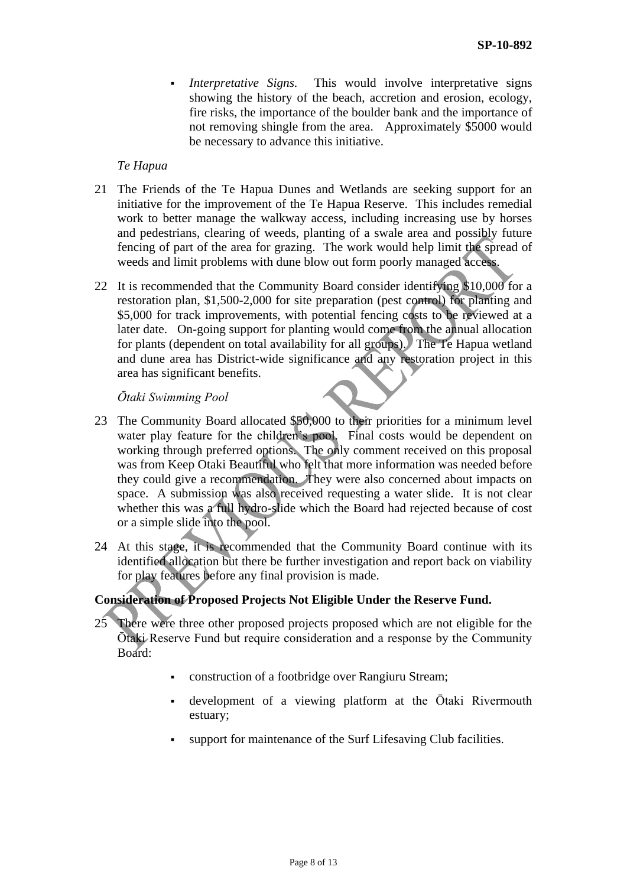*Interpretative Signs.* This would involve interpretative signs showing the history of the beach, accretion and erosion, ecology, fire risks, the importance of the boulder bank and the importance of not removing shingle from the area. Approximately \$5000 would be necessary to advance this initiative.

#### *Te Hapua*

- 21 The Friends of the Te Hapua Dunes and Wetlands are seeking support for an initiative for the improvement of the Te Hapua Reserve. This includes remedial work to better manage the walkway access, including increasing use by horses and pedestrians, clearing of weeds, planting of a swale area and possibly future fencing of part of the area for grazing. The work would help limit the spread of weeds and limit problems with dune blow out form poorly managed access.
- 22 It is recommended that the Community Board consider identifying \$10,000 for a restoration plan, \$1,500-2,000 for site preparation (pest control) for planting and \$5,000 for track improvements, with potential fencing costs to be reviewed at a later date. On-going support for planting would come from the annual allocation for plants (dependent on total availability for all groups). The Te Hapua wetland and dune area has District-wide significance and any restoration project in this area has significant benefits.

### *Ōtaki Swimming Pool*

- 23 The Community Board allocated \$50,000 to their priorities for a minimum level water play feature for the children's pool. Final costs would be dependent on working through preferred options. The only comment received on this proposal was from Keep Otaki Beautiful who felt that more information was needed before they could give a recommendation. They were also concerned about impacts on space. A submission was also received requesting a water slide. It is not clear whether this was a full hydro-slide which the Board had rejected because of cost or a simple slide into the pool.
- 24 At this stage, it is recommended that the Community Board continue with its identified allocation but there be further investigation and report back on viability for play features before any final provision is made.

### **Consideration of Proposed Projects Not Eligible Under the Reserve Fund.**

- 25 There were three other proposed projects proposed which are not eligible for the Ōtaki Reserve Fund but require consideration and a response by the Community Board:
	- construction of a footbridge over Rangiuru Stream;
	- development of a viewing platform at the Ōtaki Rivermouth estuary;
	- support for maintenance of the Surf Lifesaving Club facilities.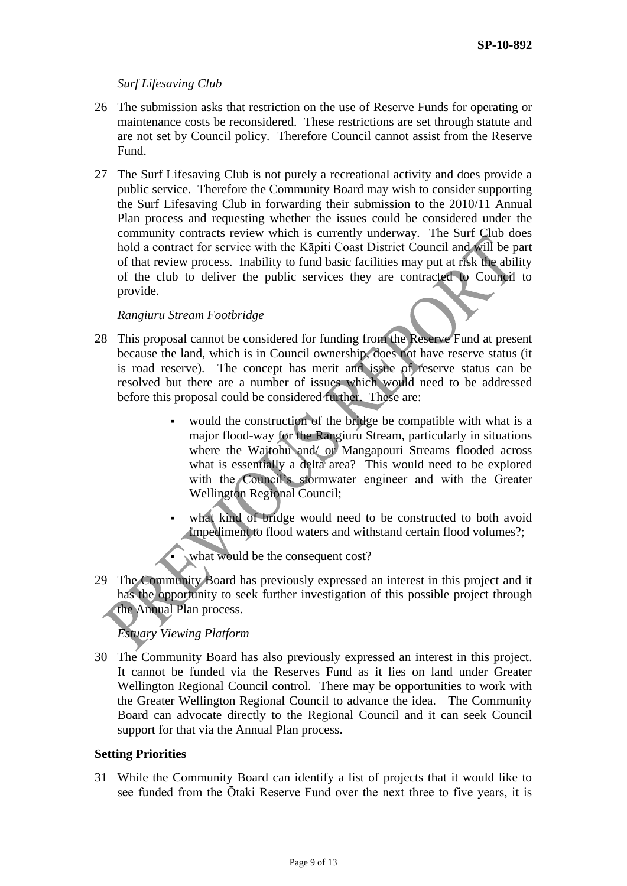## *Surf Lifesaving Club*

- 26 The submission asks that restriction on the use of Reserve Funds for operating or maintenance costs be reconsidered. These restrictions are set through statute and are not set by Council policy. Therefore Council cannot assist from the Reserve Fund.
- 27 The Surf Lifesaving Club is not purely a recreational activity and does provide a public service. Therefore the Community Board may wish to consider supporting the Surf Lifesaving Club in forwarding their submission to the 2010/11 Annual Plan process and requesting whether the issues could be considered under the community contracts review which is currently underway. The Surf Club does hold a contract for service with the Kāpiti Coast District Council and will be part of that review process. Inability to fund basic facilities may put at risk the ability of the club to deliver the public services they are contracted to Council to provide.

## *Rangiuru Stream Footbridge*

- 28 This proposal cannot be considered for funding from the Reserve Fund at present because the land, which is in Council ownership, does not have reserve status (it is road reserve). The concept has merit and issue of reserve status can be resolved but there are a number of issues which would need to be addressed before this proposal could be considered further. These are:
	- would the construction of the bridge be compatible with what is a major flood-way for the Rangiuru Stream, particularly in situations where the Waitohu and/ or Mangapouri Streams flooded across what is essentially a delta area? This would need to be explored with the Council's stormwater engineer and with the Greater Wellington Regional Council;
	- what kind of bridge would need to be constructed to both avoid impediment to flood waters and withstand certain flood volumes?;
		- what would be the consequent cost?
- 29 The Community Board has previously expressed an interest in this project and it has the opportunity to seek further investigation of this possible project through the Annual Plan process.

# *Estuary Viewing Platform*

30 The Community Board has also previously expressed an interest in this project. It cannot be funded via the Reserves Fund as it lies on land under Greater Wellington Regional Council control. There may be opportunities to work with the Greater Wellington Regional Council to advance the idea. The Community Board can advocate directly to the Regional Council and it can seek Council support for that via the Annual Plan process.

### **Setting Priorities**

31 While the Community Board can identify a list of projects that it would like to see funded from the Ōtaki Reserve Fund over the next three to five years, it is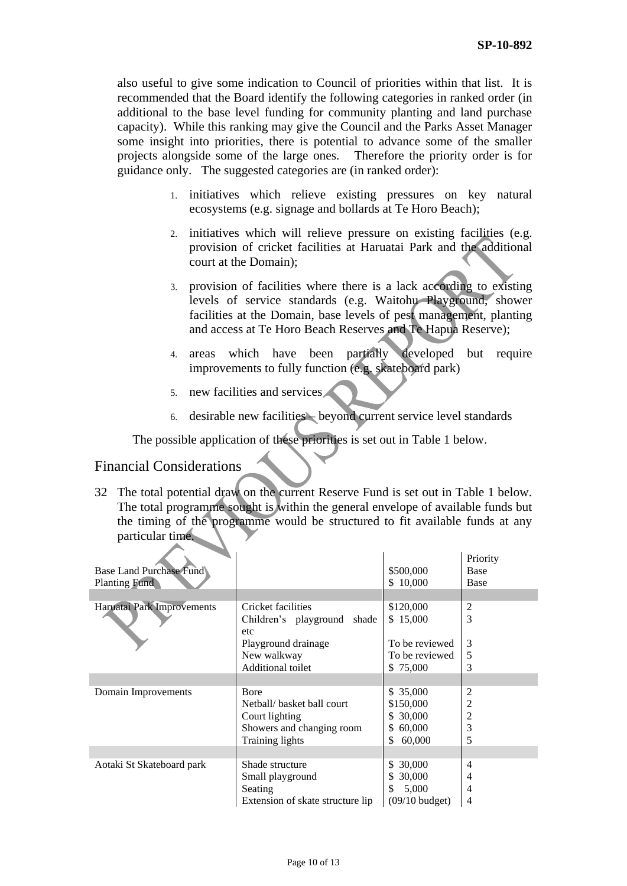also useful to give some indication to Council of priorities within that list. It is recommended that the Board identify the following categories in ranked order (in additional to the base level funding for community planting and land purchase capacity). While this ranking may give the Council and the Parks Asset Manager some insight into priorities, there is potential to advance some of the smaller projects alongside some of the large ones. Therefore the priority order is for guidance only. The suggested categories are (in ranked order):

- 1. initiatives which relieve existing pressures on key natural ecosystems (e.g. signage and bollards at Te Horo Beach);
- 2. initiatives which will relieve pressure on existing facilities (e.g. provision of cricket facilities at Haruatai Park and the additional court at the Domain);
- 3. provision of facilities where there is a lack according to existing levels of service standards (e.g. Waitohu Playground, shower facilities at the Domain, base levels of pest management, planting and access at Te Horo Beach Reserves and Te Hapua Reserve);
- 4. areas which have been partially developed but require improvements to fully function (e.g. skateboard park)
- 5. new facilities and services
- 6. desirable new facilities beyond current service level standards

The possible application of these priorities is set out in Table 1 below.

# Financial Considerations

32 The total potential draw on the current Reserve Fund is set out in Table 1 below. The total programme sought is within the general envelope of available funds but the timing of the programme would be structured to fit available funds at any particular time.

| <b>Base Land Purchase Fund</b><br><b>Planting Fund</b> |                                                                                                                        | \$500,000<br>\$10,000                                                 | Priority<br><b>Base</b><br><b>Base</b> |
|--------------------------------------------------------|------------------------------------------------------------------------------------------------------------------------|-----------------------------------------------------------------------|----------------------------------------|
| Haruatai Park Improvements                             | Cricket facilities<br>Children's playground<br>shade<br>etc<br>Playground drainage<br>New walkway<br>Additional toilet | \$120,000<br>\$15,000<br>To be reviewed<br>To be reviewed<br>\$75,000 | 2<br>3<br>3<br>5<br>3                  |
|                                                        |                                                                                                                        |                                                                       |                                        |
| Domain Improvements                                    | <b>B</b> ore<br>Nethall/ basket hall court<br>Court lighting<br>Showers and changing room<br><b>Training lights</b>    | \$35,000<br>\$150,000<br>\$30,000<br>60,000<br>S.<br>\$<br>60,000     | 2<br>$\overline{c}$<br>2<br>3<br>5     |
|                                                        |                                                                                                                        |                                                                       |                                        |
| Aotaki St Skateboard park                              | Shade structure<br>Small playground<br>Seating<br>Extension of skate structure lip                                     | 30,000<br>S.<br>30,000<br>S.<br>\$<br>5,000<br>$(09/10$ budget)       | 4<br>4<br>4<br>4                       |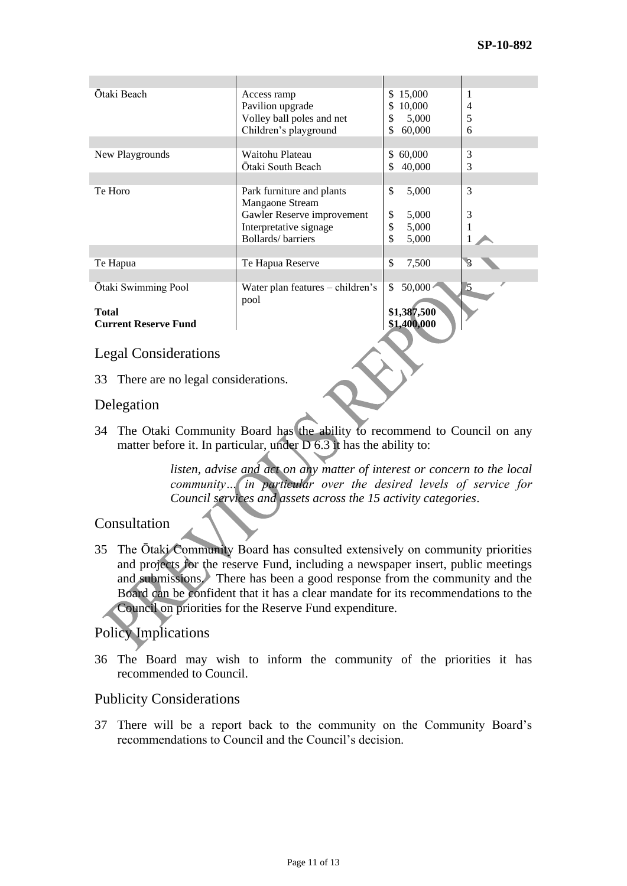| Ōtaki Beach                 | Access ramp<br>Pavilion upgrade<br>Volley ball poles and net<br>Children's playground | 15,000<br>\$.<br>10,000<br>\$<br>\$<br>5,000<br>\$<br>60,000 | 1<br>4<br>5<br>6         |
|-----------------------------|---------------------------------------------------------------------------------------|--------------------------------------------------------------|--------------------------|
|                             |                                                                                       |                                                              |                          |
| New Playgrounds             | Waitohu Plateau<br>Ōtaki South Beach                                                  | 60,000<br>\$<br>\$<br>40,000                                 | 3<br>3                   |
|                             |                                                                                       |                                                              |                          |
| Te Horo                     | Park furniture and plants<br>Mangaone Stream                                          | \$<br>5,000                                                  | 3                        |
|                             | Gawler Reserve improvement                                                            | \$<br>5,000                                                  | 3                        |
|                             | Interpretative signage                                                                | \$<br>5,000                                                  |                          |
|                             | Bollards/barriers                                                                     | \$<br>5,000                                                  |                          |
|                             |                                                                                       | \$                                                           | $\overline{\mathcal{S}}$ |
| Te Hapua                    | Te Hapua Reserve                                                                      | 7,500                                                        |                          |
| Ōtaki Swimming Pool         | Water plan features - children's<br>pool                                              | 50,000<br>\$                                                 | $\overline{5}$           |
| <b>Total</b>                |                                                                                       | \$1,387,500                                                  |                          |
| <b>Current Reserve Fund</b> |                                                                                       | \$1,400,000                                                  |                          |
|                             |                                                                                       |                                                              |                          |
| <b>Legal Considerations</b> |                                                                                       |                                                              |                          |

33 There are no legal considerations.

# Delegation

34 The Otaki Community Board has the ability to recommend to Council on any matter before it. In particular, under D 6.3 it has the ability to:

> *listen, advise and act on any matter of interest or concern to the local community… in particular over the desired levels of service for Council services and assets across the 15 activity categories*.

# Consultation

35 The Ōtaki Community Board has consulted extensively on community priorities and projects for the reserve Fund, including a newspaper insert, public meetings and submissions. There has been a good response from the community and the Board can be confident that it has a clear mandate for its recommendations to the Council on priorities for the Reserve Fund expenditure.

# Policy Implications

36 The Board may wish to inform the community of the priorities it has recommended to Council.

### Publicity Considerations

37 There will be a report back to the community on the Community Board's recommendations to Council and the Council's decision.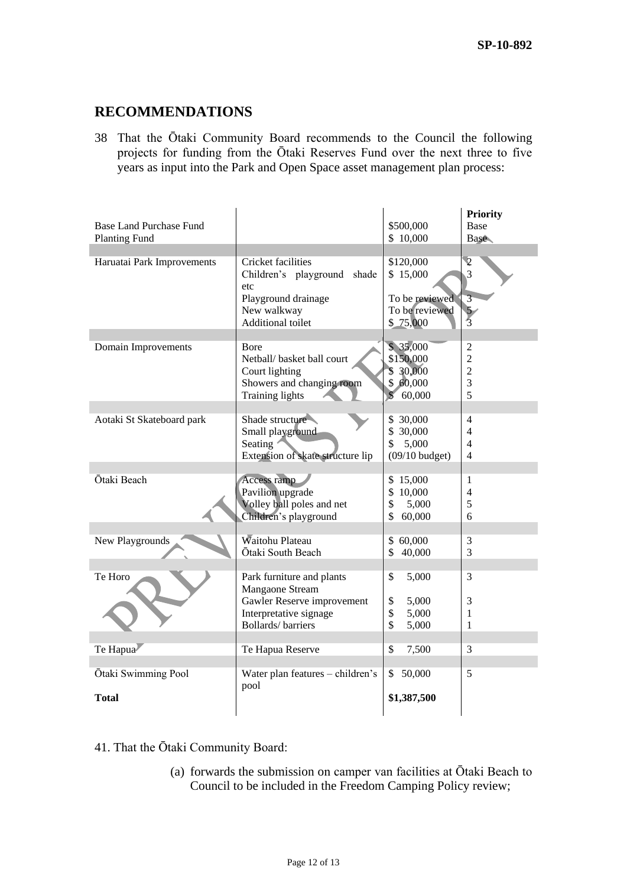# **RECOMMENDATIONS**

38 That the Ōtaki Community Board recommends to the Council the following projects for funding from the Ōtaki Reserves Fund over the next three to five years as input into the Park and Open Space asset management plan process:

|                            |                                          |                         | <b>Priority</b> |
|----------------------------|------------------------------------------|-------------------------|-----------------|
| Base Land Purchase Fund    |                                          | \$500,000               | Base            |
| <b>Planting Fund</b>       |                                          | \$10,000                | <b>Base</b>     |
| Haruatai Park Improvements | <b>Cricket facilities</b>                | \$120,000               | $\overline{2}$  |
|                            | Children's playground shade              | \$15,000                | 3               |
|                            | etc                                      |                         |                 |
|                            | Playground drainage                      | To be reviewed          | $\overline{3}$  |
|                            | New walkway                              | To be reviewed          | $\frac{5}{3}$   |
|                            | Additional toilet                        | \$75,000                |                 |
|                            |                                          | \$35,000                | $\overline{2}$  |
| Domain Improvements        | Bore<br>Netball/ basket ball court       | \$150,000               | $\overline{2}$  |
|                            | Court lighting                           | \$ 30,000               | $\overline{2}$  |
|                            | Showers and changing room                | \$60,000                | $\overline{3}$  |
|                            | <b>Training lights</b>                   | $\mathcal{S}$<br>60,000 | 5               |
|                            |                                          |                         |                 |
| Aotaki St Skateboard park  | Shade structure                          | \$ 30,000               | 4               |
|                            | Small playground                         | 30,000<br>\$            | 4               |
|                            | Seating                                  | 5,000<br>\$             | 4               |
|                            | Extension of skate structure lip         | $(09/10$ budget)        | 4               |
| Ōtaki Beach                | Access ramp                              | \$15,000                | 1               |
|                            | Pavilion upgrade                         | \$<br>10,000            | $\overline{4}$  |
|                            | Volley ball poles and net                | \$<br>5,000             | 5               |
|                            | Children's playground                    | \$<br>60,000            | 6               |
|                            |                                          |                         |                 |
| New Playgrounds            | Waitohu Plateau                          | 60,000<br>\$            | 3               |
|                            | Ōtaki South Beach                        | \$<br>40,000            | 3               |
| Te Horo                    | Park furniture and plants                | \$<br>5,000             | 3               |
|                            | Mangaone Stream                          |                         |                 |
|                            | Gawler Reserve improvement               | \$<br>5,000             | 3               |
|                            | Interpretative signage                   | \$<br>5,000             | 1               |
|                            | <b>Bollards/barriers</b>                 | \$<br>5,000             | 1               |
|                            |                                          |                         |                 |
| Te Hapua                   | Te Hapua Reserve                         | \$<br>7,500             | 3               |
|                            |                                          | 50,000<br>\$            | 5               |
| Ōtaki Swimming Pool        | Water plan features - children's<br>pool |                         |                 |
| <b>Total</b>               |                                          | \$1,387,500             |                 |
|                            |                                          |                         |                 |

- 41. That the Ōtaki Community Board:
	- (a) forwards the submission on camper van facilities at Ōtaki Beach to Council to be included in the Freedom Camping Policy review;